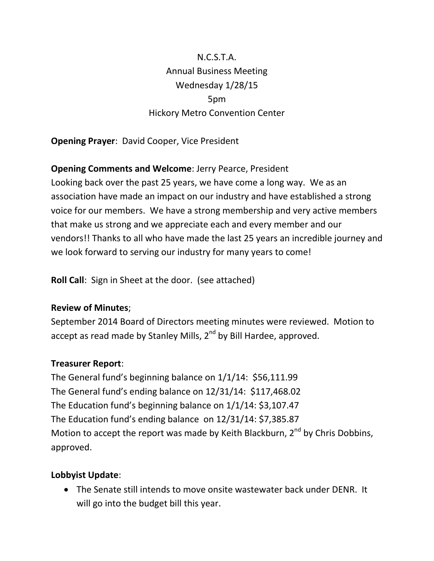# N.C.S.T.A. Annual Business Meeting Wednesday 1/28/15 5pm Hickory Metro Convention Center

**Opening Prayer**: David Cooper, Vice President

## **Opening Comments and Welcome**: Jerry Pearce, President

Looking back over the past 25 years, we have come a long way. We as an association have made an impact on our industry and have established a strong voice for our members. We have a strong membership and very active members that make us strong and we appreciate each and every member and our vendors!! Thanks to all who have made the last 25 years an incredible journey and we look forward to serving our industry for many years to come!

**Roll Call**: Sign in Sheet at the door. (see attached)

## **Review of Minutes**;

September 2014 Board of Directors meeting minutes were reviewed. Motion to accept as read made by Stanley Mills,  $2^{nd}$  by Bill Hardee, approved.

## **Treasurer Report**:

The General fund's beginning balance on 1/1/14: \$56,111.99 The General fund's ending balance on 12/31/14: \$117,468.02 The Education fund's beginning balance on 1/1/14: \$3,107.47 The Education fund's ending balance on 12/31/14: \$7,385.87 Motion to accept the report was made by Keith Blackburn, 2<sup>nd</sup> by Chris Dobbins, approved.

## **Lobbyist Update**:

 The Senate still intends to move onsite wastewater back under DENR. It will go into the budget bill this year.